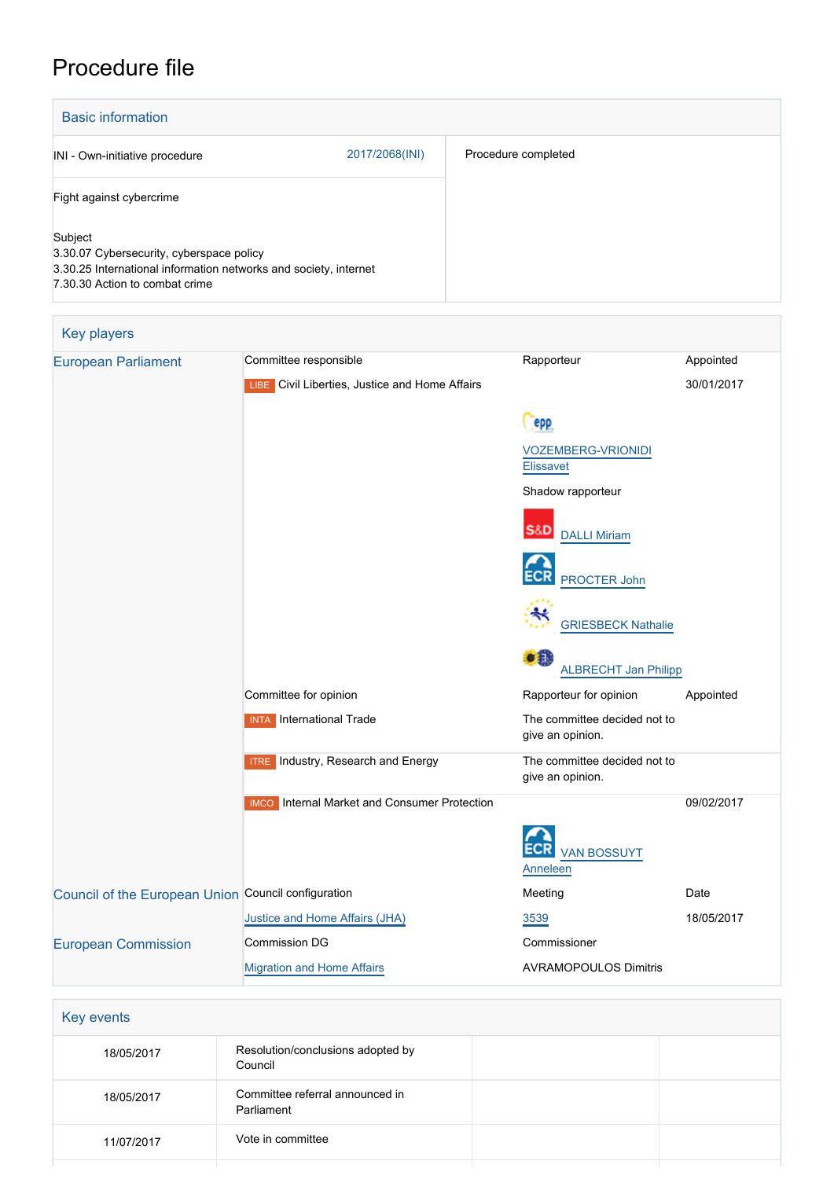## Procedure file

| <b>THORD THE</b>                                                                                                                                          |                                                     |                                                  |            |  |  |
|-----------------------------------------------------------------------------------------------------------------------------------------------------------|-----------------------------------------------------|--------------------------------------------------|------------|--|--|
| <b>Basic information</b>                                                                                                                                  |                                                     |                                                  |            |  |  |
| INI - Own-initiative procedure                                                                                                                            | 2017/2068(INI)                                      | Procedure completed                              |            |  |  |
| Fight against cybercrime                                                                                                                                  |                                                     |                                                  |            |  |  |
| Subject<br>3.30.07 Cybersecurity, cyberspace policy<br>3.30.25 International information networks and society, internet<br>7.30.30 Action to combat crime |                                                     |                                                  |            |  |  |
| Key players                                                                                                                                               |                                                     |                                                  |            |  |  |
| <b>European Parliament</b>                                                                                                                                | Committee responsible                               | Rapporteur                                       | Appointed  |  |  |
|                                                                                                                                                           | LIBE Civil Liberties, Justice and Home Affairs      |                                                  | 30/01/2017 |  |  |
|                                                                                                                                                           |                                                     | epp                                              |            |  |  |
|                                                                                                                                                           |                                                     | <b>VOZEMBERG-VRIONIDI</b><br><b>Elissavet</b>    |            |  |  |
|                                                                                                                                                           |                                                     | Shadow rapporteur                                |            |  |  |
|                                                                                                                                                           |                                                     | <b>S&amp;D</b> DALLI Miriam                      |            |  |  |
|                                                                                                                                                           |                                                     |                                                  |            |  |  |
|                                                                                                                                                           |                                                     | PROCTER John                                     |            |  |  |
|                                                                                                                                                           |                                                     | <b>GRIESBECK Nathalie</b>                        |            |  |  |
|                                                                                                                                                           |                                                     | o n<br><b>ALBRECHT Jan Philipp</b>               |            |  |  |
|                                                                                                                                                           | Committee for opinion                               | Rapporteur for opinion                           | Appointed  |  |  |
|                                                                                                                                                           | <b>INTA</b> International Trade                     | The committee decided not to<br>give an opinion. |            |  |  |
|                                                                                                                                                           | <b>ITRE</b> Industry, Research and Energy           | The committee decided not to<br>give an opinion. |            |  |  |
|                                                                                                                                                           | <b>IMCO</b> Internal Market and Consumer Protection |                                                  | 09/02/2017 |  |  |
|                                                                                                                                                           |                                                     | <b>VAN BOSSUYT</b><br><b>Anneleen</b>            |            |  |  |
| Council of the European Union Council configuration                                                                                                       |                                                     | Meeting                                          | Date       |  |  |
|                                                                                                                                                           | Justice and Home Affairs (JHA)                      | 3539                                             | 18/05/2017 |  |  |
| <b>European Commission</b>                                                                                                                                | <b>Commission DG</b>                                | Commissioner                                     |            |  |  |
|                                                                                                                                                           | <b>Migration and Home Affairs</b>                   | <b>AVRAMOPOULOS Dimitris</b>                     |            |  |  |

| Key events |                                               |  |
|------------|-----------------------------------------------|--|
| 18/05/2017 | Resolution/conclusions adopted by<br>Council  |  |
| 18/05/2017 | Committee referral announced in<br>Parliament |  |
| 11/07/2017 | Vote in committee                             |  |
|            |                                               |  |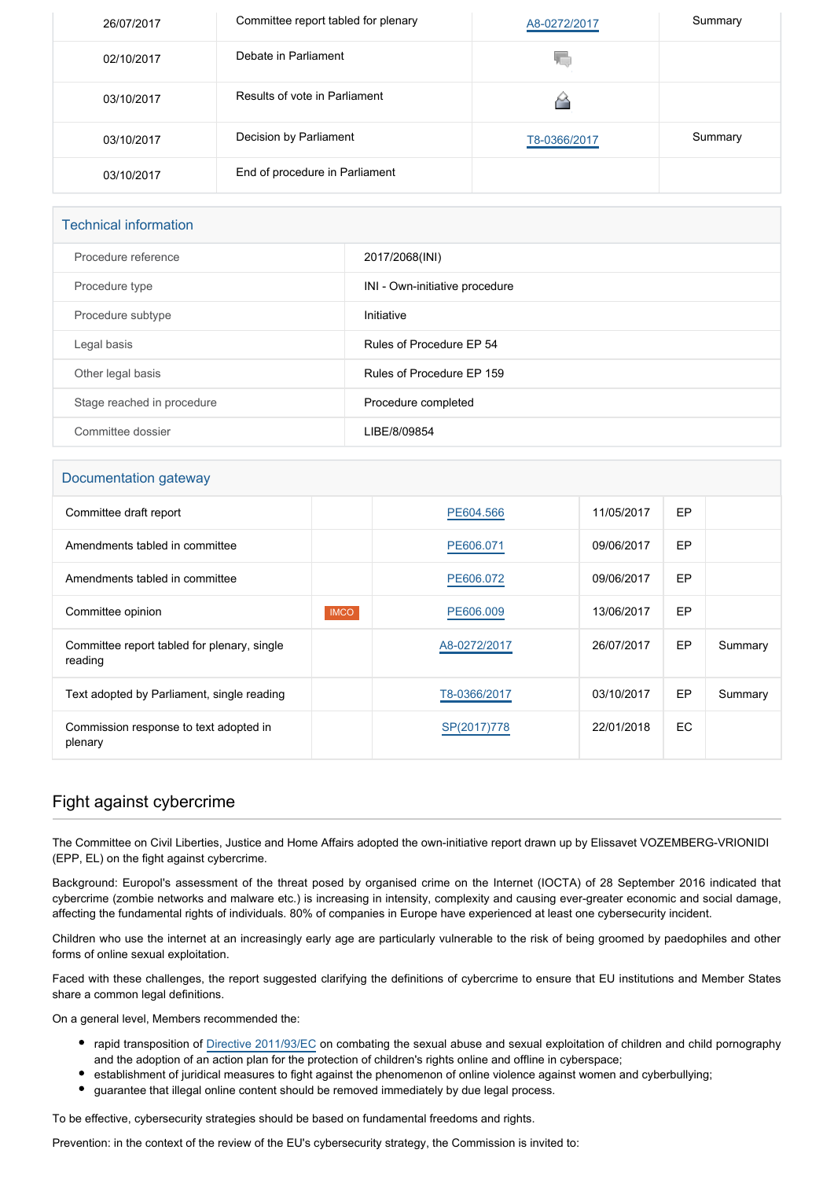| 26/07/2017 | Committee report tabled for plenary | A8-0272/2017 | Summary |
|------------|-------------------------------------|--------------|---------|
| 02/10/2017 | Debate in Parliament                | ۷C           |         |
| 03/10/2017 | Results of vote in Parliament       |              |         |
| 03/10/2017 | Decision by Parliament              | T8-0366/2017 | Summary |
| 03/10/2017 | End of procedure in Parliament      |              |         |

| <b>Technical information</b> |                                |  |
|------------------------------|--------------------------------|--|
| Procedure reference          | 2017/2068(INI)                 |  |
| Procedure type               | INI - Own-initiative procedure |  |
| Procedure subtype            | Initiative                     |  |
| Legal basis                  | Rules of Procedure EP 54       |  |
| Other legal basis            | Rules of Procedure EP 159      |  |
| Stage reached in procedure   | Procedure completed            |  |
| Committee dossier            | LIBE/8/09854                   |  |

## Documentation gateway

| Committee draft report                                 |             | PE604.566    | 11/05/2017 | EP  |         |
|--------------------------------------------------------|-------------|--------------|------------|-----|---------|
| Amendments tabled in committee                         |             | PE606.071    | 09/06/2017 | EP  |         |
| Amendments tabled in committee                         |             | PE606.072    | 09/06/2017 | EP  |         |
| Committee opinion                                      | <b>IMCO</b> | PE606.009    | 13/06/2017 | EP  |         |
| Committee report tabled for plenary, single<br>reading |             | A8-0272/2017 | 26/07/2017 | EP  | Summary |
| Text adopted by Parliament, single reading             |             | T8-0366/2017 | 03/10/2017 | EP  | Summary |
| Commission response to text adopted in<br>plenary      |             | SP(2017)778  | 22/01/2018 | EC. |         |

## Fight against cybercrime

The Committee on Civil Liberties, Justice and Home Affairs adopted the own-initiative report drawn up by Elissavet VOZEMBERG-VRIONIDI (EPP, EL) on the fight against cybercrime.

Background: Europol's assessment of the threat posed by organised crime on the Internet (IOCTA) of 28 September 2016 indicated that cybercrime (zombie networks and malware etc.) is increasing in intensity, complexity and causing ever-greater economic and social damage, affecting the fundamental rights of individuals. 80% of companies in Europe have experienced at least one cybersecurity incident.

Children who use the internet at an increasingly early age are particularly vulnerable to the risk of being groomed by paedophiles and other forms of online sexual exploitation.

Faced with these challenges, the report suggested clarifying the definitions of cybercrime to ensure that EU institutions and Member States share a common legal definitions.

On a general level, Members recommended the:

- rapid transposition of [Directive 2011/93/EC](http://eur-lex.europa.eu/legal-content/EN/TXT/PDF/?uri=CELEX:02011L0093-20111217&qid=1504524182442&from=EN) on combating the sexual abuse and sexual exploitation of children and child pornography and the adoption of an action plan for the protection of children's rights online and offline in cyberspace;
- establishment of juridical measures to fight against the phenomenon of online violence against women and cyberbullying;
- guarantee that illegal online content should be removed immediately by due legal process.

To be effective, cybersecurity strategies should be based on fundamental freedoms and rights.

Prevention: in the context of the review of the EU's cybersecurity strategy, the Commission is invited to: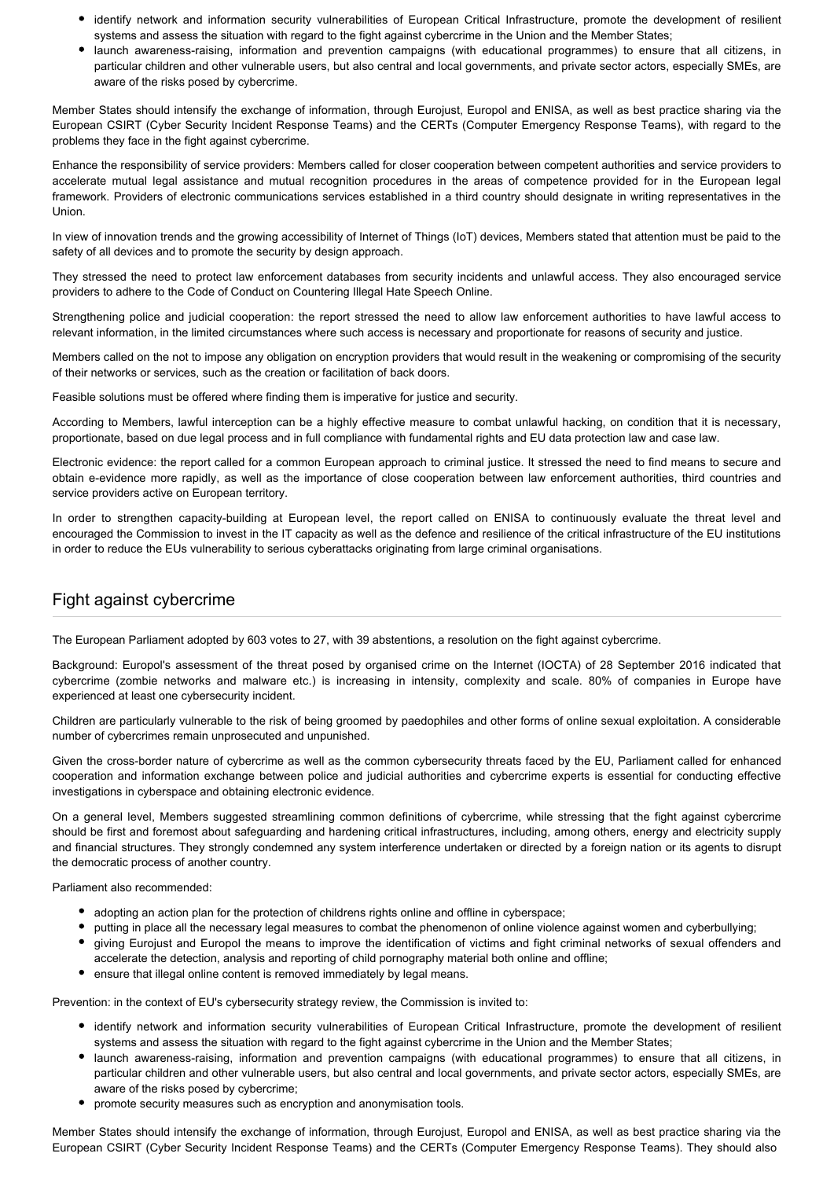- identify network and information security vulnerabilities of European Critical Infrastructure, promote the development of resilient systems and assess the situation with regard to the fight against cybercrime in the Union and the Member States;
- launch awareness-raising, information and prevention campaigns (with educational programmes) to ensure that all citizens, in particular children and other vulnerable users, but also central and local governments, and private sector actors, especially SMEs, are aware of the risks posed by cybercrime.

Member States should intensify the exchange of information, through Eurojust, Europol and ENISA, as well as best practice sharing via the European CSIRT (Cyber Security Incident Response Teams) and the CERTs (Computer Emergency Response Teams), with regard to the problems they face in the fight against cybercrime.

Enhance the responsibility of service providers: Members called for closer cooperation between competent authorities and service providers to accelerate mutual legal assistance and mutual recognition procedures in the areas of competence provided for in the European legal framework. Providers of electronic communications services established in a third country should designate in writing representatives in the Union.

In view of innovation trends and the growing accessibility of Internet of Things (IoT) devices, Members stated that attention must be paid to the safety of all devices and to promote the security by design approach.

They stressed the need to protect law enforcement databases from security incidents and unlawful access. They also encouraged service providers to adhere to the Code of Conduct on Countering Illegal Hate Speech Online.

Strengthening police and judicial cooperation: the report stressed the need to allow law enforcement authorities to have lawful access to relevant information, in the limited circumstances where such access is necessary and proportionate for reasons of security and justice.

Members called on the not to impose any obligation on encryption providers that would result in the weakening or compromising of the security of their networks or services, such as the creation or facilitation of back doors.

Feasible solutions must be offered where finding them is imperative for justice and security.

According to Members, lawful interception can be a highly effective measure to combat unlawful hacking, on condition that it is necessary, proportionate, based on due legal process and in full compliance with fundamental rights and EU data protection law and case law.

Electronic evidence: the report called for a common European approach to criminal justice. It stressed the need to find means to secure and obtain e-evidence more rapidly, as well as the importance of close cooperation between law enforcement authorities, third countries and service providers active on European territory.

In order to strengthen capacity-building at European level, the report called on ENISA to continuously evaluate the threat level and encouraged the Commission to invest in the IT capacity as well as the defence and resilience of the critical infrastructure of the EU institutions in order to reduce the EUs vulnerability to serious cyberattacks originating from large criminal organisations.

## Fight against cybercrime

The European Parliament adopted by 603 votes to 27, with 39 abstentions, a resolution on the fight against cybercrime.

Background: Europol's assessment of the threat posed by organised crime on the Internet (IOCTA) of 28 September 2016 indicated that cybercrime (zombie networks and malware etc.) is increasing in intensity, complexity and scale. 80% of companies in Europe have experienced at least one cybersecurity incident.

Children are particularly vulnerable to the risk of being groomed by paedophiles and other forms of online sexual exploitation. A considerable number of cybercrimes remain unprosecuted and unpunished.

Given the cross-border nature of cybercrime as well as the common cybersecurity threats faced by the EU, Parliament called for enhanced cooperation and information exchange between police and judicial authorities and cybercrime experts is essential for conducting effective investigations in cyberspace and obtaining electronic evidence.

On a general level, Members suggested streamlining common definitions of cybercrime, while stressing that the fight against cybercrime should be first and foremost about safeguarding and hardening critical infrastructures, including, among others, energy and electricity supply and financial structures. They strongly condemned any system interference undertaken or directed by a foreign nation or its agents to disrupt the democratic process of another country.

Parliament also recommended:

- adopting an action plan for the protection of childrens rights online and offline in cyberspace;
- putting in place all the necessary legal measures to combat the phenomenon of online violence against women and cyberbullying;
- giving Eurojust and Europol the means to improve the identification of victims and fight criminal networks of sexual offenders and accelerate the detection, analysis and reporting of child pornography material both online and offline;
- ensure that illegal online content is removed immediately by legal means.

Prevention: in the context of EU's cybersecurity strategy review, the Commission is invited to:

- identify network and information security vulnerabilities of European Critical Infrastructure, promote the development of resilient systems and assess the situation with regard to the fight against cybercrime in the Union and the Member States;
- launch awareness-raising, information and prevention campaigns (with educational programmes) to ensure that all citizens, in particular children and other vulnerable users, but also central and local governments, and private sector actors, especially SMEs, are aware of the risks posed by cybercrime;
- promote security measures such as encryption and anonymisation tools.

Member States should intensify the exchange of information, through Eurojust, Europol and ENISA, as well as best practice sharing via the European CSIRT (Cyber Security Incident Response Teams) and the CERTs (Computer Emergency Response Teams). They should also